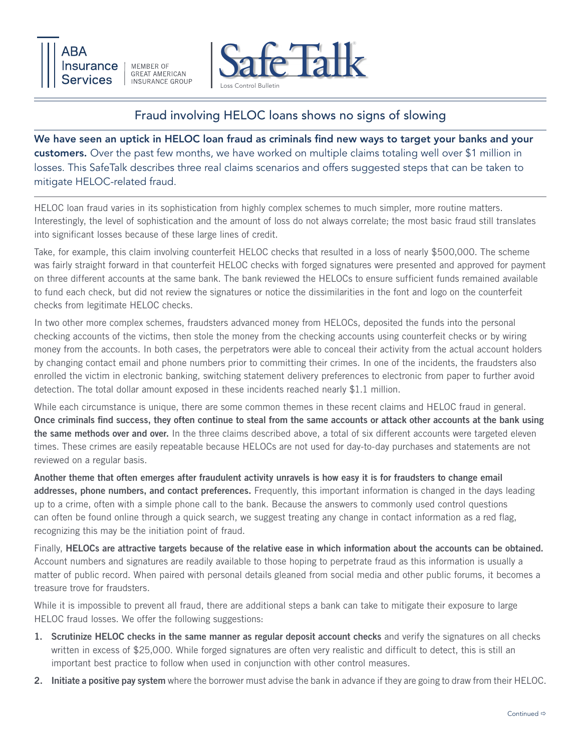

**MEMBER OF GREAT AMERICAN INSURANCE GROUP** 



## Fraud involving HELOC loans shows no signs of slowing

We have seen an uptick in HELOC loan fraud as criminals find new ways to target your banks and your customers. Over the past few months, we have worked on multiple claims totaling well over \$1 million in losses. This SafeTalk describes three real claims scenarios and offers suggested steps that can be taken to mitigate HELOC-related fraud.

HELOC loan fraud varies in its sophistication from highly complex schemes to much simpler, more routine matters. Interestingly, the level of sophistication and the amount of loss do not always correlate; the most basic fraud still translates into significant losses because of these large lines of credit.

Take, for example, this claim involving counterfeit HELOC checks that resulted in a loss of nearly \$500,000. The scheme was fairly straight forward in that counterfeit HELOC checks with forged signatures were presented and approved for payment on three different accounts at the same bank. The bank reviewed the HELOCs to ensure sufficient funds remained available to fund each check, but did not review the signatures or notice the dissimilarities in the font and logo on the counterfeit checks from legitimate HELOC checks.

In two other more complex schemes, fraudsters advanced money from HELOCs, deposited the funds into the personal checking accounts of the victims, then stole the money from the checking accounts using counterfeit checks or by wiring money from the accounts. In both cases, the perpetrators were able to conceal their activity from the actual account holders by changing contact email and phone numbers prior to committing their crimes. In one of the incidents, the fraudsters also enrolled the victim in electronic banking, switching statement delivery preferences to electronic from paper to further avoid detection. The total dollar amount exposed in these incidents reached nearly \$1.1 million.

While each circumstance is unique, there are some common themes in these recent claims and HELOC fraud in general. Once criminals find success, they often continue to steal from the same accounts or attack other accounts at the bank using the same methods over and over. In the three claims described above, a total of six different accounts were targeted eleven times. These crimes are easily repeatable because HELOCs are not used for day-to-day purchases and statements are not reviewed on a regular basis.

Another theme that often emerges after fraudulent activity unravels is how easy it is for fraudsters to change email addresses, phone numbers, and contact preferences. Frequently, this important information is changed in the days leading up to a crime, often with a simple phone call to the bank. Because the answers to commonly used control questions can often be found online through a quick search, we suggest treating any change in contact information as a red flag, recognizing this may be the initiation point of fraud.

Finally, HELOCs are attractive targets because of the relative ease in which information about the accounts can be obtained. Account numbers and signatures are readily available to those hoping to perpetrate fraud as this information is usually a matter of public record. When paired with personal details gleaned from social media and other public forums, it becomes a treasure trove for fraudsters.

While it is impossible to prevent all fraud, there are additional steps a bank can take to mitigate their exposure to large HELOC fraud losses. We offer the following suggestions:

- 1. Scrutinize HELOC checks in the same manner as regular deposit account checks and verify the signatures on all checks written in excess of \$25,000. While forged signatures are often very realistic and difficult to detect, this is still an important best practice to follow when used in conjunction with other control measures.
- 2. Initiate a positive pay system where the borrower must advise the bank in advance if they are going to draw from their HELOC.